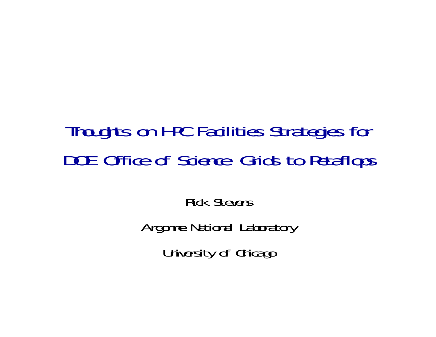# Thoughts on HPC Facilities Strategies for DOE Office of Science: Grids to Petaflops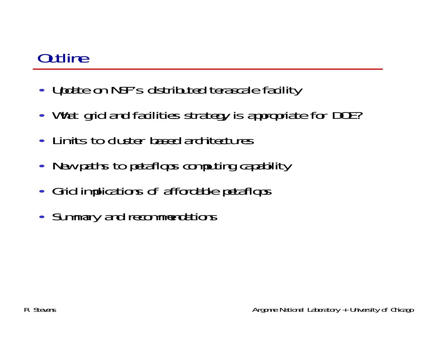# **Outline**

- Update on NSF's distributed terascale facility
- What grid and facilities strategy is appropriate for DOE?
- Limits to cluster based architectures
- New paths to petaflops computing capability
- Grid implications of affordable petaflops
- Summary and recommendations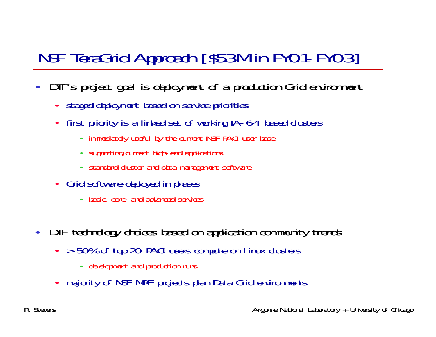# NSF TeraGrid Approach [\$53M in FY01-FY03]

- • DTF's project goal is deployment of a production Grid environment
	- staged deployment based on service priorities
	- first priority is a linked set of working IA-64 based clusters
		- immediately useful by the current NSF PACI user base
		- supporting current high-end applications
		- standard cluster and data management software
	- Grid software deployed in phases
		- basic, core, and advanced services
- DTF technology choices based on application community trends
	- > 50% of top 20 PACI users compute on Linux clusters
		- development and production runs
	- majority of NSF MRE projects plan Data Grid environments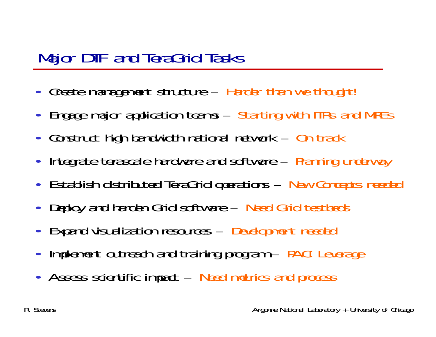#### Major DTF and TeraGrid Tasks

- Create management structure Harder than we thought!
- $\bullet$ Engage major application teams – Starting with ITRs and MREs
- Construct high bandwidth national network On track
- $\bullet$ Integrate terascale hardware and software – Planning underway
- Establish distributed TeraGrid operations New Concepts needed
- $\bullet$ Deploy and harden Grid software – Need Grid testbeds
- $\bullet$ Expand visualization resources – Development needed
- $\bullet$ Implement outreach and training program – PACI Leverage
- Assess scientific impact Need metrics and process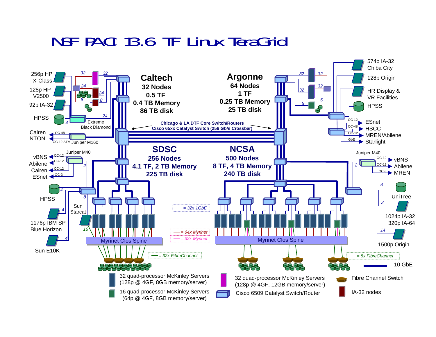#### NSF PACI 13.6 TF Linux TeraGrid

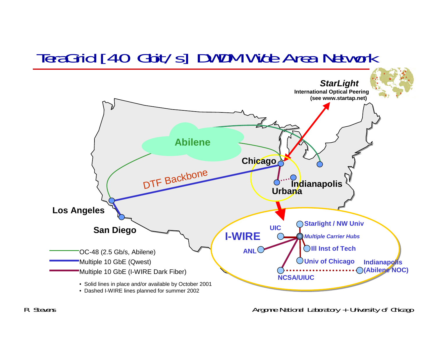### TeraGrid [40 Gbit/s] DWDM Wide Area Network

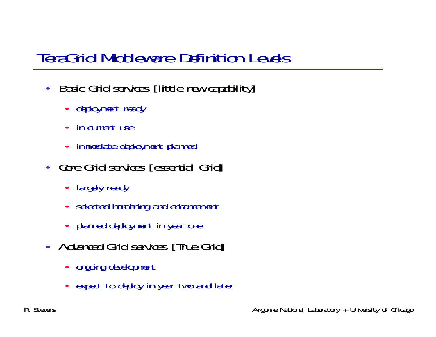# TeraGrid Middleware Definition Levels

- • Basic Grid services [little new capability]
	- deployment ready
	- in current use
	- immediate deployment planned
- Core Grid services [essential Grid]
	- largely ready
	- selected hardening and enhancement
	- planned deployment in year one
- Advanced Grid services [True Grid]
	- ongoing development
	- expect to deploy in year two and later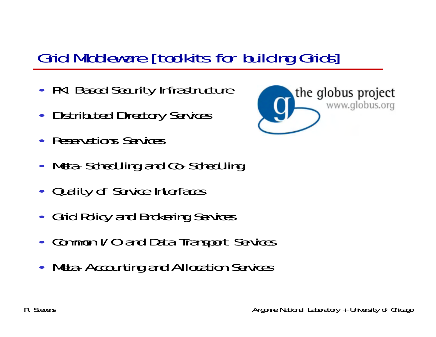# Grid Middleware [toolkits for building Grids]

- PKI Based Security Infrastructure
- Distributed Directory Services
- Reservations Services
- Meta-Scheduling and Co-Scheduling
- Quality of Service Interfaces
- Grid Policy and Brokering Services
- $\bullet$ • Common I/O and Data Transport Services
- Meta-Accounting and Allocation Services

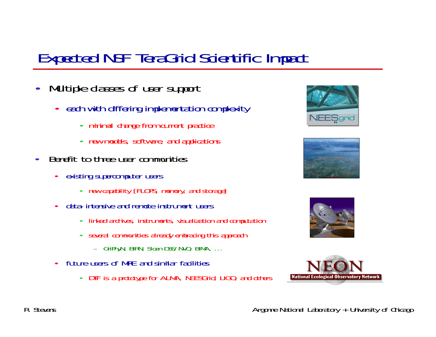### Expected NSF TeraGrid Scientific Impact

- $\bullet$  Multiple classes of user support
	- each with differing implementation complexity
		- minimal change from current practice
		- new models, software, and applications
- • Benefit to three user communities
	- $\bullet$  existing supercomputer users
		- new capability [FLOPS, memory, and storage]
	- $\bullet$  data-intensive and remote instrument users
		- linked archives, instruments, visualization and computation
		- several communities already embracing this approach
			- GriPhyN, BIRN, Sloan DSS/NVO, BIMA, …
	- $\bullet$  future users of MRE and similar facilities
		- •DTF is a prototype for ALMA, NEESGrid, LIGO, and others







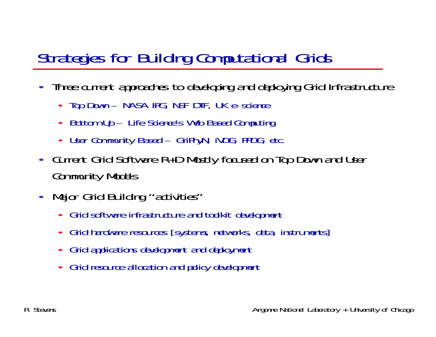# Strategies for Building Computational Grids

- Three current approaches to developing and deploying Grid Infrastructure
	- Top Down NASA IPG, NSF DTF, UK e-science
	- •Bottom Up – Life Science's Web Based Computing
	- •User Community Based – GriPhyN, iVDG, PPDG, etc.
- Current Grid Software R+D Mostly focused on Top Down and User Community Models
- $\bullet$ Major Grid Building "activities"
	- Grid software infrastructure and toolkit development
	- •Grid hardware resources [systems, networks, data, instruments]
	- •Grid applications development and deployment
	- •Grid resource allocation and policy development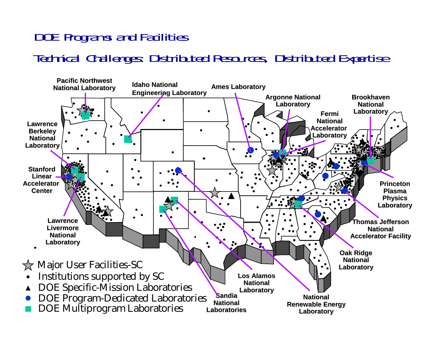#### DOE Programs and Facilities Technical Challenges: Distributed Resources, Distributed Expertise

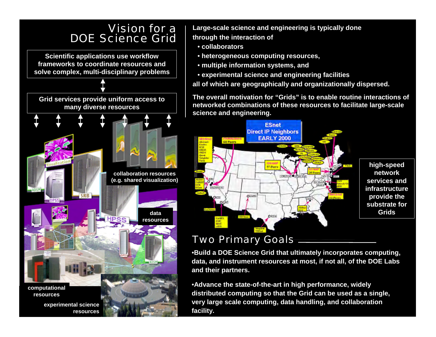#### Vision for a DOE Science Grid **Scientific applications use workflow frameworks to coordinate resources and solve complex, multi-disciplinary problems**

**Grid services provide uniform access to many diverse resources collaboration resources (e.g. shared visualization) data HPS resources computational resources**

**experimental science resources** **Large-scale science and engineering is typically done through the interaction of**

- **collaborators**
- **heterogeneous computing resources,**
- **multiple information systems, and**
- **experimental science and engineering facilities**
- **all of which are geographically and organizationally dispersed.**

**The overall motivation for "Grids" is to enable routine interactions of networked combinations of these resources to facilitate large-scale science and engineering.**



#### Two Primary Goals

•**Build a DOE Science Grid that ultimately incorporates computing, data, and instrument resources at most, if not all, of the DOE Labs and their partners.**

•**Advance the state-of-the-art in high performance, widely distributed computing so that the Grid can be used as a single, very large scale computing, data handling, and collaboration facility.**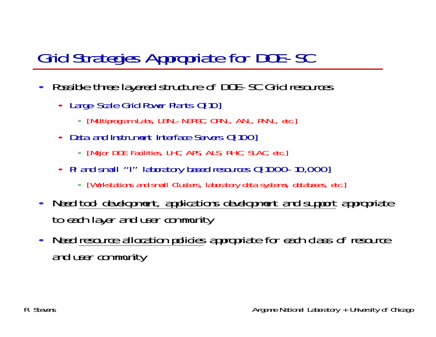# Grid Strategies Appropriate for DOE-SC

- • Possible three layered structure of DOE-SC Grid resources
	- Large-Scale Grid Power Plants O[10]
		- [Multiprogram Labs, LBNL-NERSC, ORNL, ANL, PNNL, etc.]
	- Data and Instrument Interface Servers O[100]
		- [Major DOE Facilities, LHC, APS, ALS, RHIC, SLAC, etc.]
	- PI and small "I" laboratory based resources O[1000-10,000]
		- [Workstations and small Clusters, laboratory data systems, databases, etc.]
- $\bullet$  Need tool development, applications development and support appropriate to each layer and user community
- $\bullet$  Need resource allocation policies appropriate for each class of resource and user community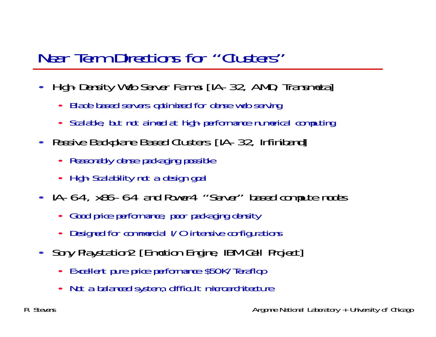### Near Term Directions for "Clusters"

- $\bullet$  High-Density Web Server Farms [IA-32, AMD, Transmeta]
	- •Blade based servers optimized for dense web serving
	- •Scalable, but not aimed at high-performance numerical computing
- Passive Backplane Based Clusters [IA-32, Infiniband]
	- Reasonably dense packaging possible
	- High-Scalability not a design goal
- IA-64, x86-64 and Power4 "Server" based compute nodes
	- •Good price performance, poor packaging density
	- •Designed for commercial I/O intensive configurations
- Sony Playstation2 [Emotion Engine, IBM Cell Project]
	- Excellent pure price performance \$50K/Teraflop
	- •Not a balanced system, difficult microarchitecture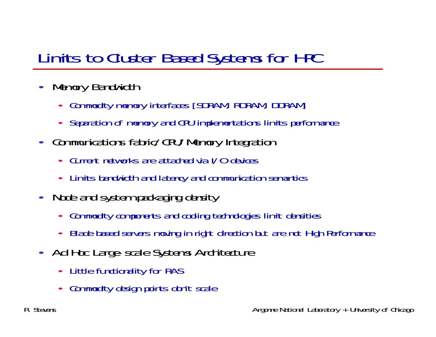# Limits to Cluster Based Systems for HPC

- $\bullet$  Memory Bandwidth
	- Commodity memory interfaces [SDRAM, RDRAM, DDRAM]
	- •Separation of memory and CPU implementations limits performance
- Communications fabric/CPU/Memory Integration
	- •Current networks are attached via I/O devices
	- Limits bandwidth and latency and communication semantics
- Node and system packaging density
	- •Commodity components and cooling technologies limit densities
	- •Blade based servers moving in right direction but are not High Performance
- Ad Hoc Large-scale Systems Architecture
	- •Little functionality for RAS
	- •Commodity design points don't scale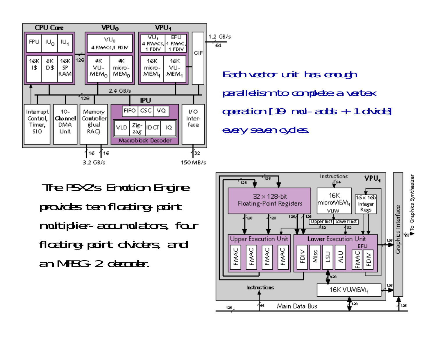

Each vector unit has enough parallelism to complete a vertex operation [19 mul-adds + 1 divide] every seven cycles.

The PSX2's Emotion Engine provides ten floating-point multiplier-accumulators, four floating-point dividers, and an MPEG-2 decoder.

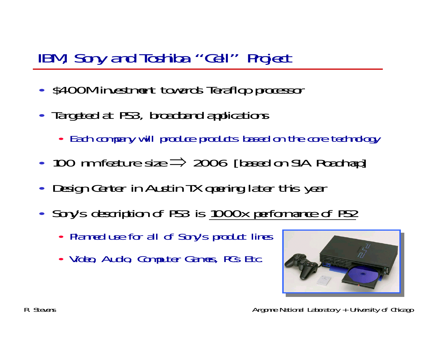#### IBM, Sony and Toshiba "Cell" Project

- $\bullet$ • \$400M investment towards Teraflop processor
- Targeted at PS3, broadband applications
	- Each company will produce products based on the core technology
- 100 nm feature size  $\Rightarrow$  2006 [based on SIA Roadmap]
- $\bullet$ Design Center in Austin TX opening later this year
- Sony's description of PS3 is 1000x performance of PS2
	- Planned use for all of Sony's product lines
	- Video, Audio, Computer Games, PCs Etc.

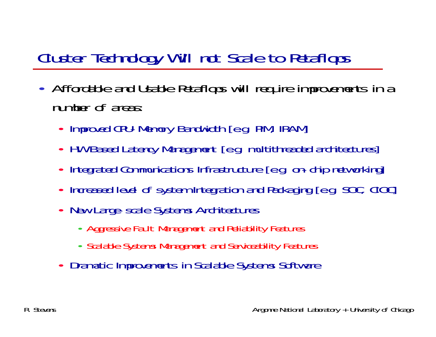# Cluster Technology Will not Scale to Petaflops

- Affordable and Usable Petaflops will require improvements in a number of areas:
	- Improved CPU-Memory Bandwidth [e.g. PIM, IRAM]
	- HW Based Latency Management [e.g. multithreaded architectures]
	- Integrated Communications Infrastructure [e.g. on-chip networking]
	- •Increased level of system Integration and Packaging [e.g. SOC, ClOC]
	- New Large-scale Systems Architectures
		- Aggressive Fault Management and Reliability Features
		- Scalable Systems Management and Serviceability Features
	- Dramatic Improvements in Scalable Systems Software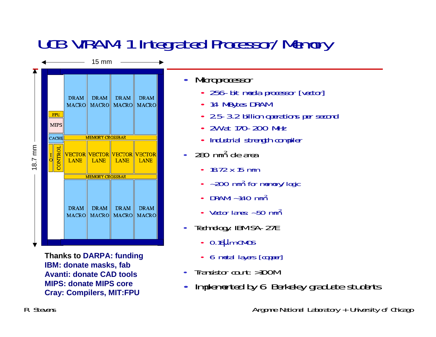# UCB VIRAM-1 Integrated Processor/Memory



**Thanks to DARPA: funding IBM: donate masks, fab Avanti: donate CAD tools MIPS: donate MIPS core Cray: Compilers, MIT:FPU**

 $\bullet$ **Microprocessor** 

- 256-bit media processor [vector]
- 14 MBytes DRAM
- 2.5-3.2 billion operations per second
- •2W at 170-200 MHz
- •Industrial strength compiler
- • 280 mm2 die area
	- 18.72 x 15 mm
	- ~200 mm<sup>2</sup> for memory/logic
	- •DRAM: ~140 mm2
	- Vector lanes:  $\sim$  50 mm<sup>2</sup>
- • Technology: IBM SA-27E
	- 0.18µm CMOS
	- 6 metal layers [copper]
- •Transistor count: >100M
- •Implemented by 6 Berkeley graduate students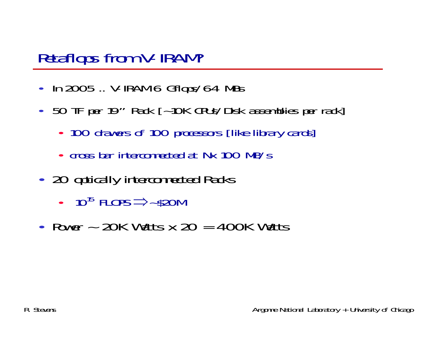#### Petaflops from V-IRAM?

- In 2005 .. V-IRAM 6 Gflops/64 MBs
- 50 TF per 19" Rack [~10K CPUs/Disk assemblies per rack]
	- 100 drawers of 100 processors [like library cards]
	- cross bar interconnected at Nx 100 MB/s
- 20 optically interconnected Racks
	- $10^{15}$  FLOPS  $\Rightarrow$  -\$20M
- Power  $\sim$  20K Watts x 20 = 400K Watts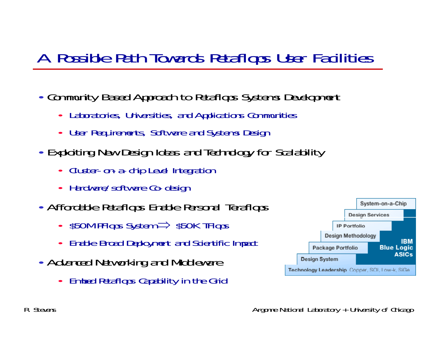# A Possible Path Towards Petaflops User Facilities

- Community Based Approach to Petaflops Systems Development
	- •Laboratories, Universities, and Applications Communities
	- User Requirements, Software and Systems Design
- Exploiting New Design Ideas and Technology for Scalability
	- Cluster-on-a-chip Level Integration
	- Hardware/software Co-design
- Affordable Petaflops Enable Personal Teraflops
	- \$50M PFlops System ⇒ \$50K TFlops
	- •Enable Broad Deployment and Scientific Impact
- Advanced Networking and Middleware
	- Embed Petaflops Capability in the Grid

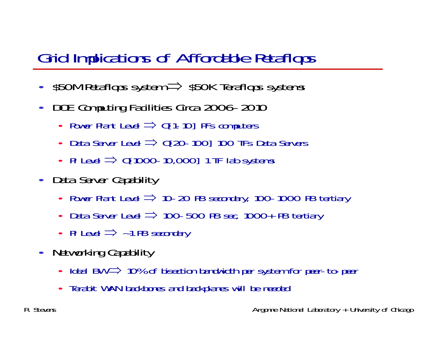### Grid Implications of Affordable Petaflops

- $\bullet$ \$50M Petaflops system  $\Rightarrow$  \$50K Teraflops systems
- • DOE Computing Facilities Circa 2006-2010
	- Power Plant Level  $\Rightarrow$  O[1-10] PFs computers
	- •• Data Server Level  $\Rightarrow$  0[20-100] 100 TFs Data Servers
	- PI Level  $\Rightarrow$  0[1000-10,000] 1 TF lab systems
- Data Server Capability
	- Power Plant Level  $\Rightarrow$  10-20 PB secondary, 100-1000 PB tertiary
	- •• Data Server Level  $\Rightarrow$  100-500 PB sec, 1000+ PB tertiary
	- PI Level  $\Rightarrow$  ~1 PB secondary
- Networking Capability
	- Ideal BW ⇒ 10% of bisection bandwidth per system for peer-to-peer
	- •Terabit WAN backbones and backplanes will be needed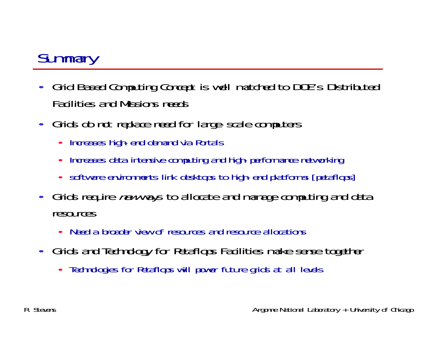# **Summary**

- $\bullet$  Grid Based Computing Concept is well matched to DOE's Distributed Facilities and Missions needs
- Grids do not replace need for large-scale computers
	- •Increases high-end demand via Portals
	- •Increases data intensive computing and high-performance networking
	- software environments link desktops to high-end platforms [petaflops]
- Grids require *new* ways to allocate and manage computing and data resources
	- Need a broader view of resources and resource allocations
- Grids and Technology for Petaflops Facilities make sense together
	- Technologies for Petaflops will power future grids at all levels